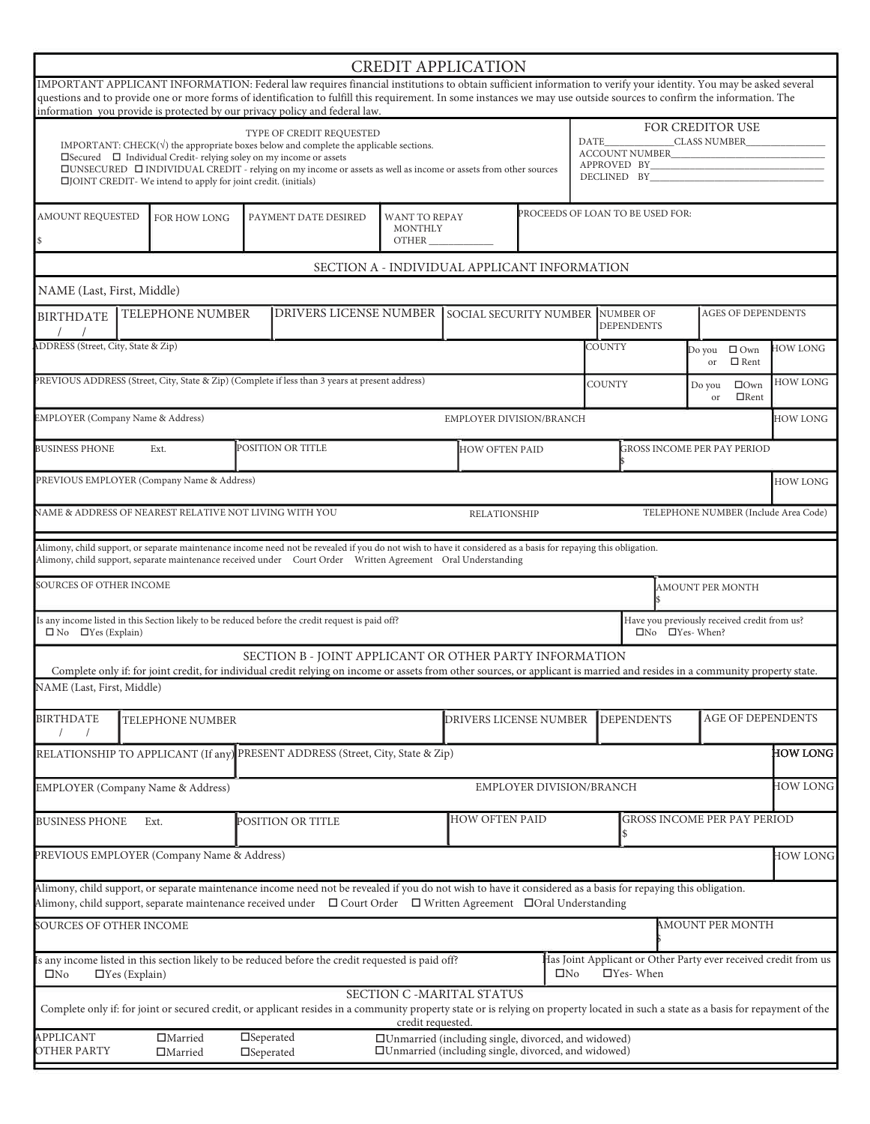|                                                                                                                                                                                                                                                                                                                                                                                                                                                                                          |                                                                                                                                                                                                |                                            |                                                                                                 |                                                                                                                                                                                                                                                                                                                                           |                                 | <b>CREDIT APPLICATION</b>                    |  |                                  |                                               |                                  |                                                                 |                 |  |  |
|------------------------------------------------------------------------------------------------------------------------------------------------------------------------------------------------------------------------------------------------------------------------------------------------------------------------------------------------------------------------------------------------------------------------------------------------------------------------------------------|------------------------------------------------------------------------------------------------------------------------------------------------------------------------------------------------|--------------------------------------------|-------------------------------------------------------------------------------------------------|-------------------------------------------------------------------------------------------------------------------------------------------------------------------------------------------------------------------------------------------------------------------------------------------------------------------------------------------|---------------------------------|----------------------------------------------|--|----------------------------------|-----------------------------------------------|----------------------------------|-----------------------------------------------------------------|-----------------|--|--|
|                                                                                                                                                                                                                                                                                                                                                                                                                                                                                          |                                                                                                                                                                                                |                                            |                                                                                                 | IMPORTANT APPLICANT INFORMATION: Federal law requires financial institutions to obtain sufficient information to verify your identity. You may be asked several<br>questions and to provide one or more forms of identification to fulfill this requirement. In some instances we may use outside sources to confirm the information. The |                                 |                                              |  |                                  |                                               |                                  |                                                                 |                 |  |  |
|                                                                                                                                                                                                                                                                                                                                                                                                                                                                                          |                                                                                                                                                                                                |                                            |                                                                                                 | information you provide is protected by our privacy policy and federal law.                                                                                                                                                                                                                                                               |                                 |                                              |  |                                  |                                               |                                  |                                                                 |                 |  |  |
| TYPE OF CREDIT REQUESTED<br>DATE<br>IMPORTANT: CHECK $(\sqrt{})$ the appropriate boxes below and complete the applicable sections.<br>ACCOUNT NUMBER<br>$\square \text{Secured} \quad \square \quad \text{Individual Credit- relying solely on my income or assets}$<br>APPROVED BY<br>$\square$ UNSECURED $\square$ INDIVIDUAL CREDIT - relying on my income or assets as well as income or assets from other sources<br>□JOINT CREDIT- We intend to apply for joint credit. (initials) |                                                                                                                                                                                                |                                            |                                                                                                 |                                                                                                                                                                                                                                                                                                                                           |                                 |                                              |  |                                  |                                               |                                  | FOR CREDITOR USE<br>CLASS NUMBER                                |                 |  |  |
| AMOUNT REQUESTED<br>FOR HOW LONG<br>$\mathcal{S}$                                                                                                                                                                                                                                                                                                                                                                                                                                        |                                                                                                                                                                                                |                                            |                                                                                                 | PAYMENT DATE DESIRED                                                                                                                                                                                                                                                                                                                      | WANT TO REPAY<br><b>MONTHLY</b> |                                              |  | PROCEEDS OF LOAN TO BE USED FOR: |                                               |                                  |                                                                 |                 |  |  |
|                                                                                                                                                                                                                                                                                                                                                                                                                                                                                          |                                                                                                                                                                                                |                                            |                                                                                                 |                                                                                                                                                                                                                                                                                                                                           |                                 | SECTION A - INDIVIDUAL APPLICANT INFORMATION |  |                                  |                                               |                                  |                                                                 |                 |  |  |
| NAME (Last, First, Middle)                                                                                                                                                                                                                                                                                                                                                                                                                                                               |                                                                                                                                                                                                |                                            |                                                                                                 |                                                                                                                                                                                                                                                                                                                                           |                                 |                                              |  |                                  |                                               |                                  |                                                                 |                 |  |  |
| <b>BIRTHDATE</b>                                                                                                                                                                                                                                                                                                                                                                                                                                                                         | <b>TELEPHONE NUMBER</b>                                                                                                                                                                        |                                            |                                                                                                 | <b>DRIVERS LICENSE NUMBER</b>                                                                                                                                                                                                                                                                                                             |                                 | SOCIAL SECURITY NUMBER                       |  |                                  |                                               | NUMBER OF<br><b>DEPENDENTS</b>   | <b>AGES OF DEPENDENTS</b>                                       |                 |  |  |
| DDRESS (Street, City, State & Zip)                                                                                                                                                                                                                                                                                                                                                                                                                                                       |                                                                                                                                                                                                |                                            |                                                                                                 |                                                                                                                                                                                                                                                                                                                                           |                                 |                                              |  |                                  | <b>COUNTY</b>                                 | <b>HOW LONG</b>                  |                                                                 |                 |  |  |
|                                                                                                                                                                                                                                                                                                                                                                                                                                                                                          |                                                                                                                                                                                                |                                            | PREVIOUS ADDRESS (Street, City, State & Zip) (Complete if less than 3 years at present address) |                                                                                                                                                                                                                                                                                                                                           | COUNTY                          |                                              |  |                                  | $\Box$ Own<br>Do you<br>$\Box$ Rent<br>or     | <b>HOW LONG</b>                  |                                                                 |                 |  |  |
| EMPLOYER (Company Name & Address)                                                                                                                                                                                                                                                                                                                                                                                                                                                        |                                                                                                                                                                                                |                                            |                                                                                                 |                                                                                                                                                                                                                                                                                                                                           |                                 | EMPLOYER DIVISION/BRANCH                     |  |                                  |                                               |                                  |                                                                 | <b>HOW LONG</b> |  |  |
| <b>BUSINESS PHONE</b>                                                                                                                                                                                                                                                                                                                                                                                                                                                                    |                                                                                                                                                                                                | Ext.                                       | POSITION OR TITLE                                                                               |                                                                                                                                                                                                                                                                                                                                           |                                 | <b>HOW OFTEN PAID</b>                        |  |                                  |                                               |                                  | <b>GROSS INCOME PER PAY PERIOD</b>                              |                 |  |  |
|                                                                                                                                                                                                                                                                                                                                                                                                                                                                                          |                                                                                                                                                                                                | PREVIOUS EMPLOYER (Company Name & Address) |                                                                                                 |                                                                                                                                                                                                                                                                                                                                           |                                 |                                              |  |                                  |                                               |                                  |                                                                 | <b>HOW LONG</b> |  |  |
|                                                                                                                                                                                                                                                                                                                                                                                                                                                                                          | TELEPHONE NUMBER (Include Area Code)<br>NAME & ADDRESS OF NEAREST RELATIVE NOT LIVING WITH YOU<br>RELATIONSHIP                                                                                 |                                            |                                                                                                 |                                                                                                                                                                                                                                                                                                                                           |                                 |                                              |  |                                  |                                               |                                  |                                                                 |                 |  |  |
|                                                                                                                                                                                                                                                                                                                                                                                                                                                                                          |                                                                                                                                                                                                |                                            |                                                                                                 | Alimony, child support, or separate maintenance income need not be revealed if you do not wish to have it considered as a basis for repaying this obligation.                                                                                                                                                                             |                                 |                                              |  |                                  |                                               |                                  |                                                                 |                 |  |  |
|                                                                                                                                                                                                                                                                                                                                                                                                                                                                                          |                                                                                                                                                                                                |                                            |                                                                                                 | Alimony, child support, separate maintenance received under  Court Order  Written Agreement  Oral Understanding                                                                                                                                                                                                                           |                                 |                                              |  |                                  |                                               |                                  |                                                                 |                 |  |  |
| <b>SOURCES OF OTHER INCOME</b>                                                                                                                                                                                                                                                                                                                                                                                                                                                           |                                                                                                                                                                                                |                                            |                                                                                                 |                                                                                                                                                                                                                                                                                                                                           |                                 |                                              |  |                                  |                                               |                                  | <b>AMOUNT PER MONTH</b>                                         |                 |  |  |
| $\Box$ No $\Box$ Yes (Explain)                                                                                                                                                                                                                                                                                                                                                                                                                                                           |                                                                                                                                                                                                |                                            |                                                                                                 | Is any income listed in this Section likely to be reduced before the credit request is paid off?                                                                                                                                                                                                                                          |                                 |                                              |  |                                  |                                               | $\square$ No $\square$ Yes-When? | Have you previously received credit from us?                    |                 |  |  |
|                                                                                                                                                                                                                                                                                                                                                                                                                                                                                          |                                                                                                                                                                                                |                                            |                                                                                                 | SECTION B - JOINT APPLICANT OR OTHER PARTY INFORMATION<br>Complete only if: for joint credit, for individual credit relying on income or assets from other sources, or applicant is married and resides in a community property state.                                                                                                    |                                 |                                              |  |                                  |                                               |                                  |                                                                 |                 |  |  |
| NAME (Last, First, Middle)                                                                                                                                                                                                                                                                                                                                                                                                                                                               |                                                                                                                                                                                                |                                            |                                                                                                 |                                                                                                                                                                                                                                                                                                                                           |                                 |                                              |  |                                  |                                               |                                  |                                                                 |                 |  |  |
| <b>BIRTHDATE</b>                                                                                                                                                                                                                                                                                                                                                                                                                                                                         | TELEPHONE NUMBER                                                                                                                                                                               |                                            |                                                                                                 |                                                                                                                                                                                                                                                                                                                                           |                                 |                                              |  | DRIVERS LICENSE NUMBER           | <b>AGE OF DEPENDENTS</b><br><b>DEPENDENTS</b> |                                  |                                                                 |                 |  |  |
|                                                                                                                                                                                                                                                                                                                                                                                                                                                                                          |                                                                                                                                                                                                |                                            |                                                                                                 | RELATIONSHIP TO APPLICANT (If any) PRESENT ADDRESS (Street, City, State & Zip)                                                                                                                                                                                                                                                            |                                 |                                              |  |                                  |                                               |                                  |                                                                 | <b>HOW LONG</b> |  |  |
|                                                                                                                                                                                                                                                                                                                                                                                                                                                                                          |                                                                                                                                                                                                | <b>EMPLOYER</b> (Company Name & Address)   |                                                                                                 |                                                                                                                                                                                                                                                                                                                                           |                                 | EMPLOYER DIVISION/BRANCH                     |  |                                  |                                               |                                  |                                                                 | HOW LONG        |  |  |
| <b>BUSINESS PHONE</b>                                                                                                                                                                                                                                                                                                                                                                                                                                                                    |                                                                                                                                                                                                | Ext.                                       |                                                                                                 | POSITION OR TITLE                                                                                                                                                                                                                                                                                                                         | <b>HOW OFTEN PAID</b>           |                                              |  | GROSS INCOME PER PAY PERIOD      |                                               |                                  |                                                                 |                 |  |  |
|                                                                                                                                                                                                                                                                                                                                                                                                                                                                                          |                                                                                                                                                                                                | PREVIOUS EMPLOYER (Company Name & Address) |                                                                                                 |                                                                                                                                                                                                                                                                                                                                           |                                 |                                              |  |                                  |                                               |                                  |                                                                 | <b>HOW LONG</b> |  |  |
|                                                                                                                                                                                                                                                                                                                                                                                                                                                                                          |                                                                                                                                                                                                |                                            |                                                                                                 | Alimony, child support, or separate maintenance income need not be revealed if you do not wish to have it considered as a basis for repaying this obligation.<br>Alimony, child support, separate maintenance received under $\Box$ Court Order $\Box$ Written Agreement $\Box$ Oral Understanding                                        |                                 |                                              |  |                                  |                                               |                                  |                                                                 |                 |  |  |
| SOURCES OF OTHER INCOME                                                                                                                                                                                                                                                                                                                                                                                                                                                                  |                                                                                                                                                                                                |                                            |                                                                                                 |                                                                                                                                                                                                                                                                                                                                           |                                 |                                              |  |                                  |                                               |                                  | AMOUNT PER MONTH                                                |                 |  |  |
|                                                                                                                                                                                                                                                                                                                                                                                                                                                                                          |                                                                                                                                                                                                |                                            |                                                                                                 | is any income listed in this section likely to be reduced before the credit requested is paid off?                                                                                                                                                                                                                                        |                                 |                                              |  |                                  |                                               |                                  | Ias Joint Applicant or Other Party ever received credit from us |                 |  |  |
| $\square$ No                                                                                                                                                                                                                                                                                                                                                                                                                                                                             | $\Box$ Yes (Explain)                                                                                                                                                                           |                                            |                                                                                                 |                                                                                                                                                                                                                                                                                                                                           |                                 | SECTION C -MARITAL STATUS                    |  | $\square$ No                     |                                               | $\Box$ Yes-When                  |                                                                 |                 |  |  |
|                                                                                                                                                                                                                                                                                                                                                                                                                                                                                          |                                                                                                                                                                                                |                                            |                                                                                                 | Complete only if: for joint or secured credit, or applicant resides in a community property state or is relying on property located in such a state as a basis for repayment of the                                                                                                                                                       | credit requested.               |                                              |  |                                  |                                               |                                  |                                                                 |                 |  |  |
| <b>APPLICANT</b><br><b>OTHER PARTY</b>                                                                                                                                                                                                                                                                                                                                                                                                                                                   | $\square$ Seperated<br>$\Box$ Married<br>□Unmarried (including single, divorced, and widowed)<br>□Unmarried (including single, divorced, and widowed)<br>$\Box$ Married<br>$\square$ Seperated |                                            |                                                                                                 |                                                                                                                                                                                                                                                                                                                                           |                                 |                                              |  |                                  |                                               |                                  |                                                                 |                 |  |  |